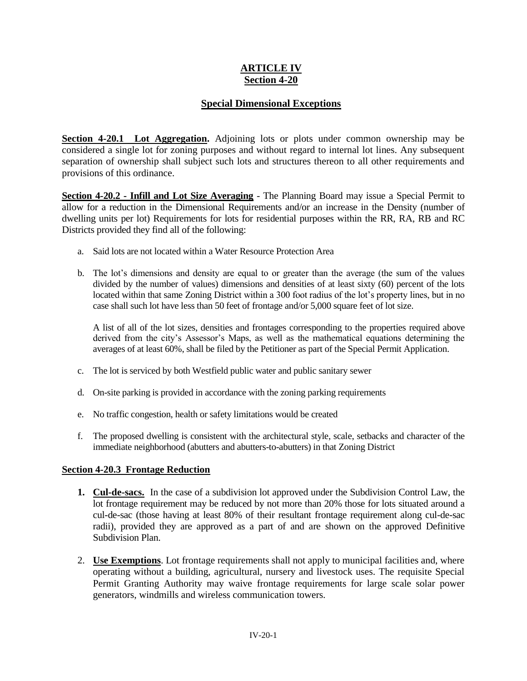## **ARTICLE IV Section 4-20**

## **Special Dimensional Exceptions**

**Section 4-20.1 Lot Aggregation.** Adjoining lots or plots under common ownership may be considered a single lot for zoning purposes and without regard to internal lot lines. Any subsequent separation of ownership shall subject such lots and structures thereon to all other requirements and provisions of this ordinance.

**Section 4-20.2 - Infill and Lot Size Averaging** - The Planning Board may issue a Special Permit to allow for a reduction in the Dimensional Requirements and/or an increase in the Density (number of dwelling units per lot) Requirements for lots for residential purposes within the RR, RA, RB and RC Districts provided they find all of the following:

- a. Said lots are not located within a Water Resource Protection Area
- b. The lot's dimensions and density are equal to or greater than the average (the sum of the values divided by the number of values) dimensions and densities of at least sixty (60) percent of the lots located within that same Zoning District within a 300 foot radius of the lot's property lines, but in no case shall such lot have less than 50 feet of frontage and/or 5,000 square feet of lot size.

A list of all of the lot sizes, densities and frontages corresponding to the properties required above derived from the city's Assessor's Maps, as well as the mathematical equations determining the averages of at least 60%, shall be filed by the Petitioner as part of the Special Permit Application.

- c. The lot is serviced by both Westfield public water and public sanitary sewer
- d. On-site parking is provided in accordance with the zoning parking requirements
- e. No traffic congestion, health or safety limitations would be created
- f. The proposed dwelling is consistent with the architectural style, scale, setbacks and character of the immediate neighborhood (abutters and abutters-to-abutters) in that Zoning District

## **Section 4-20.3 Frontage Reduction**

- **1. Cul-de-sacs.** In the case of a subdivision lot approved under the Subdivision Control Law, the lot frontage requirement may be reduced by not more than 20% those for lots situated around a cul-de-sac (those having at least 80% of their resultant frontage requirement along cul-de-sac radii), provided they are approved as a part of and are shown on the approved Definitive Subdivision Plan.
- 2. **Use Exemptions**. Lot frontage requirements shall not apply to municipal facilities and, where operating without a building, agricultural, nursery and livestock uses. The requisite Special Permit Granting Authority may waive frontage requirements for large scale solar power generators, windmills and wireless communication towers.